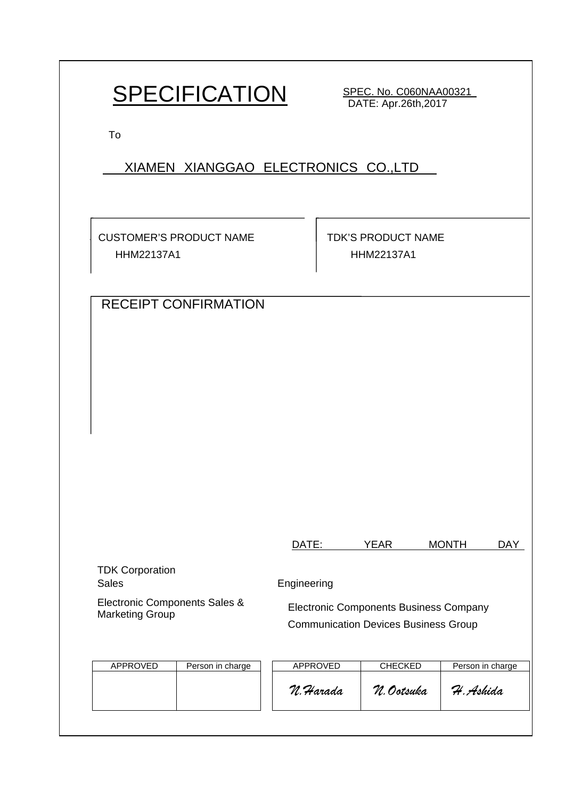# SPECIFICATION SPEC. No. C060NAA00321

DATE: Apr.26th,2017

To

XIAMEN XIANGGAO ELECTRONICS CO.,LTD

CUSTOMER'S PRODUCT NAME TDK'S PRODUCT NAME HHM22137A1 HHM22137A1

RECEIPT CONFIRMATION

|                                                         |                  | DATE:                                                                                        | YEAR           | <b>MONTH</b><br>DAY. |  |
|---------------------------------------------------------|------------------|----------------------------------------------------------------------------------------------|----------------|----------------------|--|
| <b>TDK Corporation</b><br><b>Sales</b>                  |                  | Engineering                                                                                  |                |                      |  |
| Electronic Components Sales &<br><b>Marketing Group</b> |                  | <b>Electronic Components Business Company</b><br><b>Communication Devices Business Group</b> |                |                      |  |
| <b>APPROVED</b>                                         | Person in charge | APPROVED                                                                                     | <b>CHECKED</b> | Person in charge     |  |
|                                                         |                  | N. Harada                                                                                    | N. Ootsuka     | H. Ashida            |  |
|                                                         |                  |                                                                                              |                |                      |  |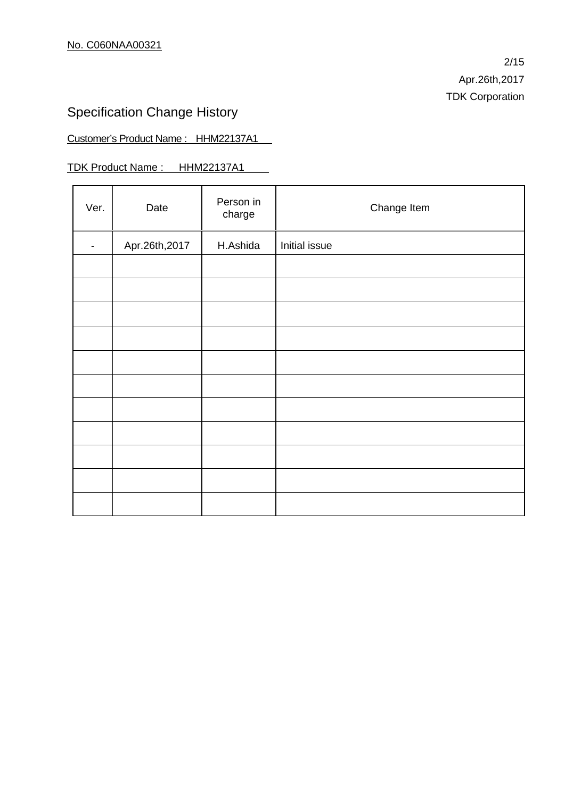# Specification Change History

#### Customer's Product Name : HHM22137A1

### TDK Product Name: HHM22137A1

| Ver.                         | Date           | Person in<br>charge | Change Item   |
|------------------------------|----------------|---------------------|---------------|
| $\qquad \qquad \blacksquare$ | Apr.26th, 2017 | H.Ashida            | Initial issue |
|                              |                |                     |               |
|                              |                |                     |               |
|                              |                |                     |               |
|                              |                |                     |               |
|                              |                |                     |               |
|                              |                |                     |               |
|                              |                |                     |               |
|                              |                |                     |               |
|                              |                |                     |               |
|                              |                |                     |               |
|                              |                |                     |               |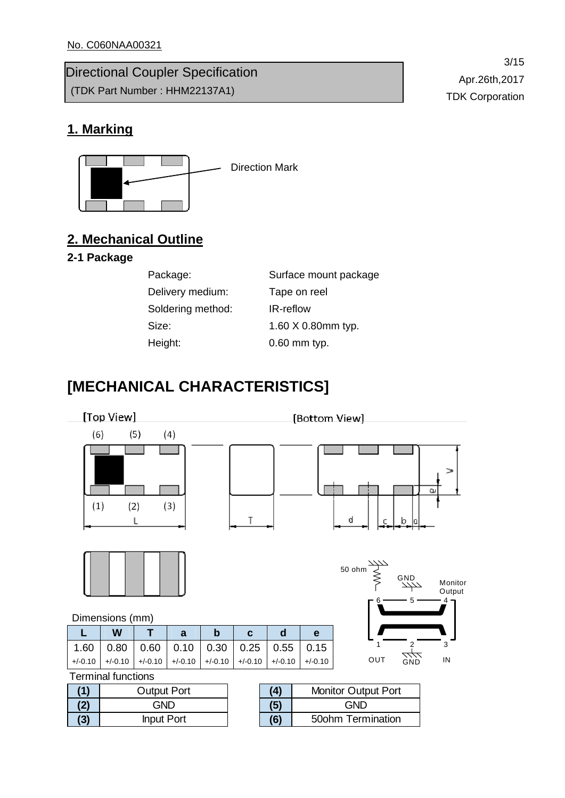Directional Coupler Specification (TDK Part Number : HHM22137A1)

3/15 Apr.26th,2017 TDK Corporation

### **1. Marking**



## **2. Mechanical Outline**

### **2-1 Package**

| Package:          | Surface mount package |
|-------------------|-----------------------|
| Delivery medium:  | Tape on reel          |
| Soldering method: | IR-reflow             |
| Size:             | 1.60 $X$ 0.80mm typ.  |
| Height:           | $0.60$ mm typ.        |

# **[MECHANICAL CHARACTERISTICS]**

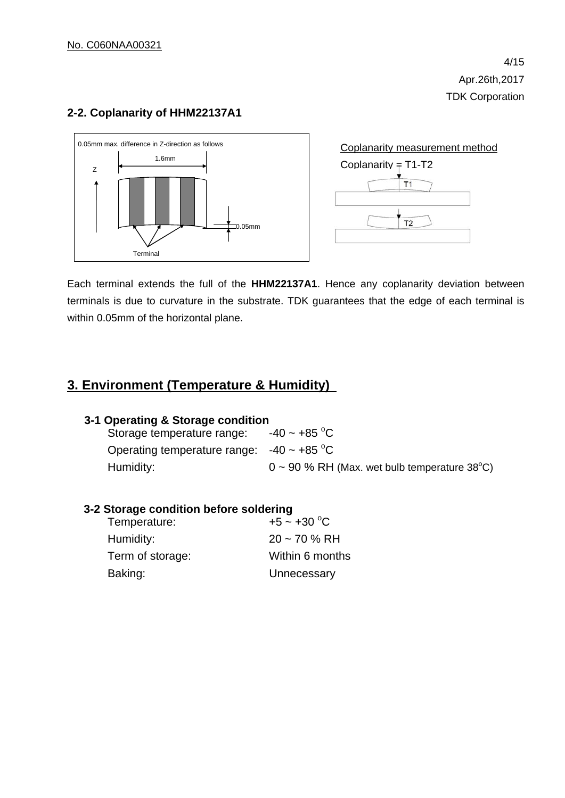



Each terminal extends the full of the **HHM22137A1**. Hence any coplanarity deviation between terminals is due to curvature in the substrate. TDK guarantees that the edge of each terminal is within 0.05mm of the horizontal plane.

### **3. Environment (Temperature & Humidity)**

| 3-1 Operating & Storage condition                     |                                                   |  |  |  |  |
|-------------------------------------------------------|---------------------------------------------------|--|--|--|--|
| Storage temperature range:                            | $-40 - +85$ °C                                    |  |  |  |  |
| Operating temperature range: $-40 \sim +85 \degree C$ |                                                   |  |  |  |  |
| Humidity:                                             | $0 \sim 90$ % RH (Max. wet bulb temperature 38°C) |  |  |  |  |

### **3-2 Storage condition before soldering**

| Temperature:     | $+5 \sim +30$ °C |
|------------------|------------------|
| Humidity:        | $20 - 70$ % RH   |
| Term of storage: | Within 6 months  |
| Baking:          | Unnecessary      |

### **2-2. Coplanarity of HHM22137A1**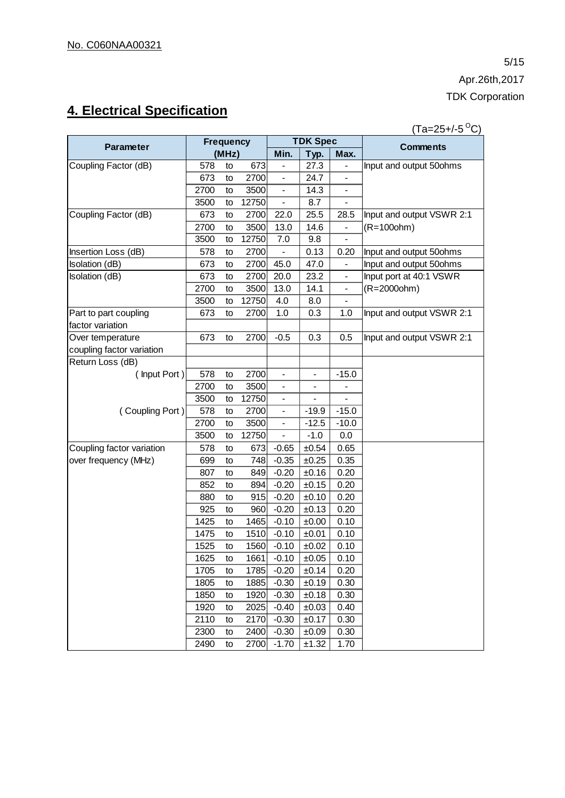# **4. Electrical Specification**

 $(Ta=25+/5^{\circ}C)$ 

| <b>Parameter</b>          | <b>Frequency</b> |    |       | <b>TDK Spec</b>              |               |                          | <b>Comments</b>           |  |
|---------------------------|------------------|----|-------|------------------------------|---------------|--------------------------|---------------------------|--|
|                           | (MHz)            |    |       | Min.                         | Typ.          | Max.                     |                           |  |
| Coupling Factor (dB)      | 578              | to | 673   |                              | 27.3          |                          | Input and output 50ohms   |  |
|                           | 673              | to | 2700  | $\qquad \qquad \blacksquare$ | 24.7          | $\overline{\phantom{0}}$ |                           |  |
|                           | 2700             | to | 3500  | $\blacksquare$               | 14.3          | $\blacksquare$           |                           |  |
|                           | 3500             | to | 12750 | $\blacksquare$               | 8.7           | $\overline{\phantom{0}}$ |                           |  |
| Coupling Factor (dB)      | 673              | to | 2700  | 22.0                         | 25.5          | 28.5                     | Input and output VSWR 2:1 |  |
|                           | 2700             | to | 3500  | 13.0                         | 14.6          |                          | (R=100ohm)                |  |
|                           | 3500             | to | 12750 | 7.0                          | 9.8           |                          |                           |  |
| Insertion Loss (dB)       | 578              | to | 2700  | $\qquad \qquad \blacksquare$ | 0.13          | 0.20                     | Input and output 50ohms   |  |
| <b>Isolation (dB)</b>     | 673              | to | 2700  | 45.0                         | 47.0          | $\overline{\phantom{0}}$ | Input and output 50ohms   |  |
| <b>Isolation (dB)</b>     | 673              | to | 2700  | 20.0                         | 23.2          | $\overline{\phantom{a}}$ | Input port at 40:1 VSWR   |  |
|                           | 2700             | to | 3500  | 13.0                         | 14.1          | $\overline{\phantom{0}}$ | (R=2000ohm)               |  |
|                           | 3500             | to | 12750 | 4.0                          | 8.0           |                          |                           |  |
| Part to part coupling     | 673              | to | 2700  | 1.0                          | 0.3           | 1.0                      | Input and output VSWR 2:1 |  |
| factor variation          |                  |    |       |                              |               |                          |                           |  |
| Over temperature          | 673              | to | 2700  | $-0.5$                       | 0.3           | 0.5                      | Input and output VSWR 2:1 |  |
| coupling factor variation |                  |    |       |                              |               |                          |                           |  |
| Return Loss (dB)          |                  |    |       |                              |               |                          |                           |  |
| (Input Port)              | 578              | to | 2700  | $\blacksquare$               | $\frac{1}{2}$ | $-15.0$                  |                           |  |
|                           | 2700             | to | 3500  | $\blacksquare$               |               |                          |                           |  |
|                           | 3500             | to | 12750 | $\overline{\phantom{a}}$     |               |                          |                           |  |
| (Coupling Port)           | 578              | to | 2700  | $\overline{\phantom{a}}$     | $-19.9$       | $-15.0$                  |                           |  |
|                           | 2700             | to | 3500  | $\blacksquare$               | $-12.5$       | $-10.0$                  |                           |  |
|                           | 3500             | to | 12750 | $\blacksquare$               | $-1.0$        | 0.0                      |                           |  |
| Coupling factor variation | 578              | to | 673   | $-0.65$                      | ±0.54         | 0.65                     |                           |  |
| over frequency (MHz)      | 699              | to | 748   | $-0.35$                      | ±0.25         | 0.35                     |                           |  |
|                           | 807              | to | 849   | $-0.20$                      | ±0.16         | 0.20                     |                           |  |
|                           | 852              | to | 894   | $-0.20$                      | ±0.15         | 0.20                     |                           |  |
|                           | 880              | to | 915   | $-0.20$                      | ±0.10         | 0.20                     |                           |  |
|                           | 925              | to | 960   | $-0.20$                      | ±0.13         | 0.20                     |                           |  |
|                           | 1425             | to | 1465  | $-0.10$                      | ±0.00         | 0.10                     |                           |  |
|                           | 1475             | to | 1510  | $-0.10$                      | ±0.01         | 0.10                     |                           |  |
|                           | 1525             | to | 1560  | $-0.10$                      | ±0.02         | 0.10                     |                           |  |
|                           | 1625             | to | 1661  | $-0.10$                      | ±0.05         | 0.10                     |                           |  |
|                           | 1705             | to | 1785  | $-0.20$                      | ±0.14         | 0.20                     |                           |  |
|                           | 1805             | to | 1885  | $-0.30$                      | ±0.19         | 0.30                     |                           |  |
|                           | 1850             | to | 1920  | $-0.30$                      | ±0.18         | 0.30                     |                           |  |
|                           | 1920             | to | 2025  | $-0.40$                      | ±0.03         | 0.40                     |                           |  |
|                           | 2110             | to | 2170  | $-0.30$                      | ±0.17         | 0.30                     |                           |  |
|                           | 2300             | to | 2400  | $-0.30$                      | ±0.09         | 0.30                     |                           |  |
|                           | 2490             | to | 2700  | $-1.70$                      | ±1.32         | 1.70                     |                           |  |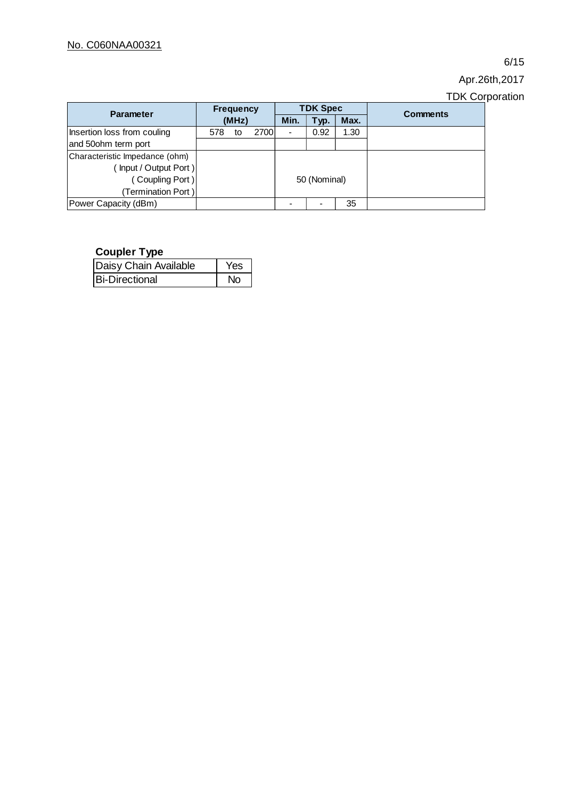|                                |                  |    |                 |                |              |                 | וטט גושו |
|--------------------------------|------------------|----|-----------------|----------------|--------------|-----------------|----------|
| <b>Parameter</b>               | <b>Frequency</b> |    | <b>TDK Spec</b> |                |              | <b>Comments</b> |          |
|                                | (MHz)            |    |                 | Min.           | Typ.         | Max.            |          |
| Insertion loss from couling    | 578              | to | <b>2700</b>     | $\blacksquare$ | 0.92         | 1.30            |          |
| and 50ohm term port            |                  |    |                 |                |              |                 |          |
| Characteristic Impedance (ohm) |                  |    |                 |                |              |                 |          |
| (Input / Output Port)          |                  |    |                 |                |              |                 |          |
| (Coupling Port)                |                  |    |                 |                | 50 (Nominal) |                 |          |
| (Termination Port)             |                  |    |                 |                |              |                 |          |
| Power Capacity (dBm)           |                  |    |                 |                |              | 35              |          |

### **Coupler Type**

| Daisy Chain Available | Yes |
|-----------------------|-----|
| <b>Bi-Directional</b> |     |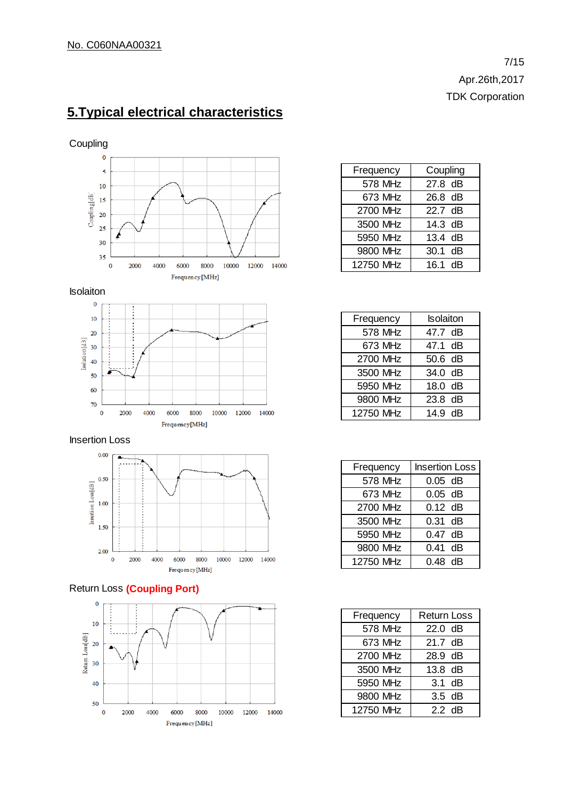# **5.Typical electrical characteristics**

Coupling

Isolaiton



| Frequency | Coupling |
|-----------|----------|
| 578 MHz   | 27.8 dB  |
| 673 MHz   | 26.8 dB  |
| 2700 MHz  | 22.7 dB  |
| 3500 MHz  | 14.3 dB  |
| 5950 MHz  | 13.4 dB  |
| 9800 MHz  | 30.1 dB  |
| 12750 MHz | 16.1 dB  |

 $\overline{\mathbf{0}}$  $10$ 20 Isolation[dB]  $30$ 40 50 60 70  $\overline{\mathbf{0}}$ 2000 4000 6000 8000 10000 12000 14000 Frequency[MHz]

Insertion Loss



#### Return Loss **(Coupling Port)**



| <b>Isolaiton</b> |
|------------------|
| 47.7 dB          |
| 47.1 dB          |
| 50.6 dB          |
| 34.0 dB          |
| 18.0 dB          |
| 23.8 dB          |
| 14.9 dB          |
|                  |

| Frequency | <b>Insertion Loss</b> |
|-----------|-----------------------|
| 578 MHz   | $0.05$ dB             |
| 673 MHz   | $0.05$ dB             |
| 2700 MHz  | $0.12$ dB             |
| 3500 MHz  | $0.31$ dB             |
| 5950 MHz  | $0.47$ dB             |
| 9800 MHz  | $0.41$ dB             |
| 12750 MHz | $0.48$ dB             |
|           |                       |

| Frequency | <b>Return Loss</b> |
|-----------|--------------------|
| 578 MHz   | $22.0$ dB          |
| 673 MHz   | $21.7$ dB          |
| 2700 MHz  | 28.9 dB            |
| 3500 MHz  | 13.8 dB            |
| 5950 MHz  | $3.1$ dB           |
| 9800 MHz  | $3.5$ dB           |
| 12750 MHz | $2.2$ dB           |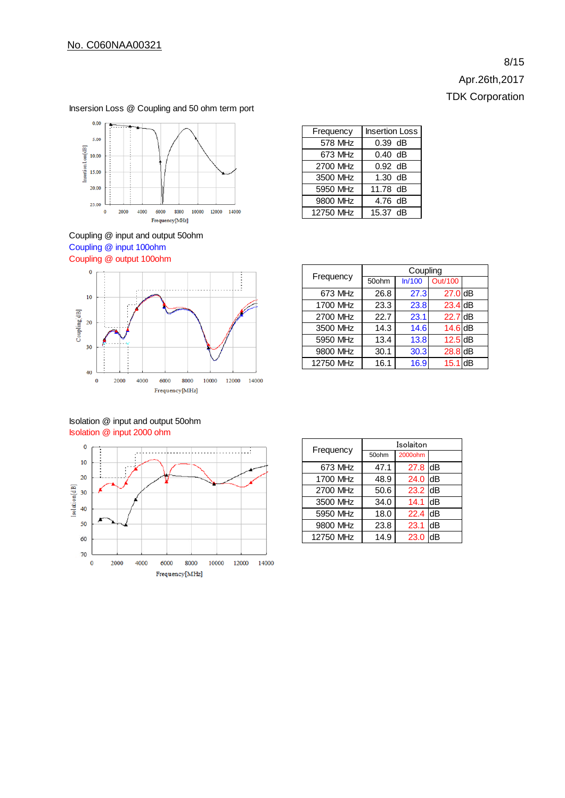

#### Insersion Loss @ Coupling and 50 ohm term port

Coupling @ input and output 50ohm Coupling @ input 100ohm Coupling @ output 100ohm



Isolation @ input and output 50ohm Isolation @ input 2000 ohm



| Frequency | <b>Insertion Loss</b> |
|-----------|-----------------------|
| 578 MHz   | $0.39$ dB             |
| 673 MHz   | $0.40$ dB             |
| 2700 MHz  | $0.92$ dB             |
| 3500 MHz  | $1.30$ dB             |
| 5950 MHz  | 11.78 dB              |
| 9800 MHz  | $4.76$ dB             |
| 12750 MHz | 15.37 dB              |

|           | Coupling |        |                |  |  |  |
|-----------|----------|--------|----------------|--|--|--|
| Frequency | 50ohm    | ln/100 | <b>Out/100</b> |  |  |  |
| 673 MHz   | 26.8     | 27.3   | $27.0$ dB      |  |  |  |
| 1700 MHz  | 23.3     | 23.8   | $23.4$ dB      |  |  |  |
| 2700 MHz  | 22.7     | 23.1   | $22.7$ dB      |  |  |  |
| 3500 MHz  | 14.3     | 14.6   | $14.6$ dB      |  |  |  |
| 5950 MHz  | 13.4     | 13.8   | $12.5$ dB      |  |  |  |
| 9800 MHz  | 30.1     | 30.3   | $28.8$ dB      |  |  |  |
| 12750 MHz | 16.1     | 16.9   | $15.1$ dB      |  |  |  |

|           | Isolaiton |                     |                 |  |  |  |
|-----------|-----------|---------------------|-----------------|--|--|--|
| Frequency | 50ohm     | 2000 <sub>ohm</sub> |                 |  |  |  |
| 673 MHz   | 47.1      | $27.8$ $dB$         |                 |  |  |  |
| 1700 MHz  | 48.9      | $24.0$ dB           |                 |  |  |  |
| 2700 MHz  | 50.6      | $23.2$ dB           |                 |  |  |  |
| 3500 MHz  | 34.0      | 14.1                | ldB             |  |  |  |
| 5950 MHz  | 18.0      | 22.4                | ldB             |  |  |  |
| 9800 MHz  | 23.8      | 23.1                | l dB            |  |  |  |
| 12750 MHz | 14.9      | 23.0                | <sup>I</sup> dB |  |  |  |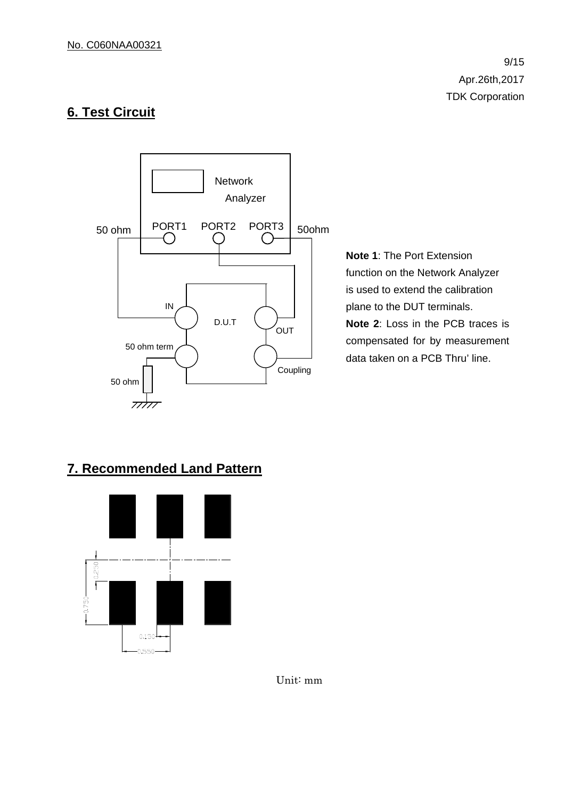# **6. Test Circuit**



**Note 1**: The Port Extension function on the Network Analyzer is used to extend the calibration plane to the DUT terminals. **Note 2**: Loss in the PCB traces is compensated for by measurement data taken on a PCB Thru' line.

# **7. Recommended Land Pattern**



Unit: mm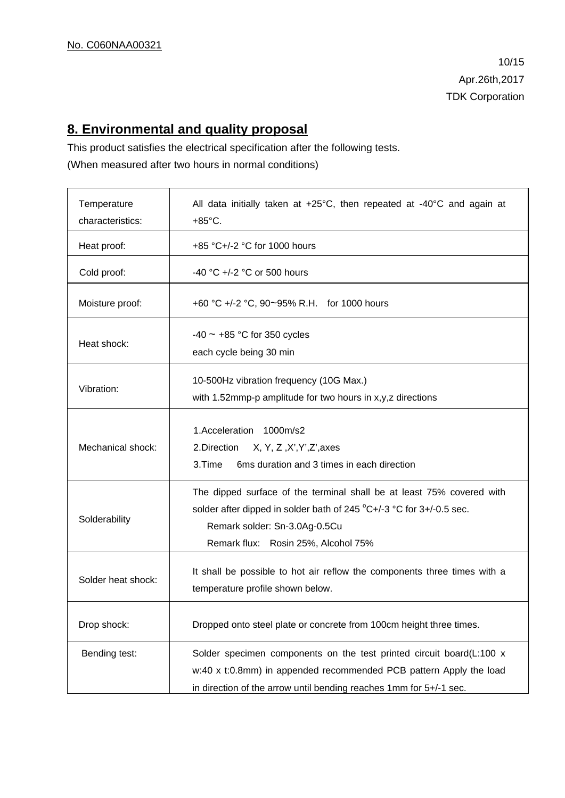# **8. Environmental and quality proposal**

This product satisfies the electrical specification after the following tests. (When measured after two hours in normal conditions)

| Temperature<br>characteristics: | All data initially taken at $+25^{\circ}$ C, then repeated at -40 $^{\circ}$ C and again at<br>$+85^{\circ}$ C.                                                                                                       |
|---------------------------------|-----------------------------------------------------------------------------------------------------------------------------------------------------------------------------------------------------------------------|
| Heat proof:                     | +85 °C+/-2 °C for 1000 hours                                                                                                                                                                                          |
| Cold proof:                     | -40 °C +/-2 °C or 500 hours                                                                                                                                                                                           |
| Moisture proof:                 | +60 °C +/-2 °C, 90~95% R.H. for 1000 hours                                                                                                                                                                            |
| Heat shock:                     | $-40 \sim +85$ °C for 350 cycles<br>each cycle being 30 min                                                                                                                                                           |
| Vibration:                      | 10-500Hz vibration frequency (10G Max.)<br>with 1.52mmp-p amplitude for two hours in x,y,z directions                                                                                                                 |
| Mechanical shock:               | 1.Acceleration 1000m/s2<br>2.Direction<br>X, Y, Z, X', Y', Z', axes<br>6ms duration and 3 times in each direction<br>3.Time                                                                                           |
| Solderability                   | The dipped surface of the terminal shall be at least 75% covered with<br>solder after dipped in solder bath of 245 °C+/-3 °C for 3+/-0.5 sec.<br>Remark solder: Sn-3.0Ag-0.5Cu<br>Remark flux: Rosin 25%, Alcohol 75% |
| Solder heat shock:              | It shall be possible to hot air reflow the components three times with a<br>temperature profile shown below.                                                                                                          |
| Drop shock:                     | Dropped onto steel plate or concrete from 100cm height three times.                                                                                                                                                   |
| Bending test:                   | Solder specimen components on the test printed circuit board(L:100 x<br>w:40 x t:0.8mm) in appended recommended PCB pattern Apply the load<br>in direction of the arrow until bending reaches 1mm for 5+/-1 sec.      |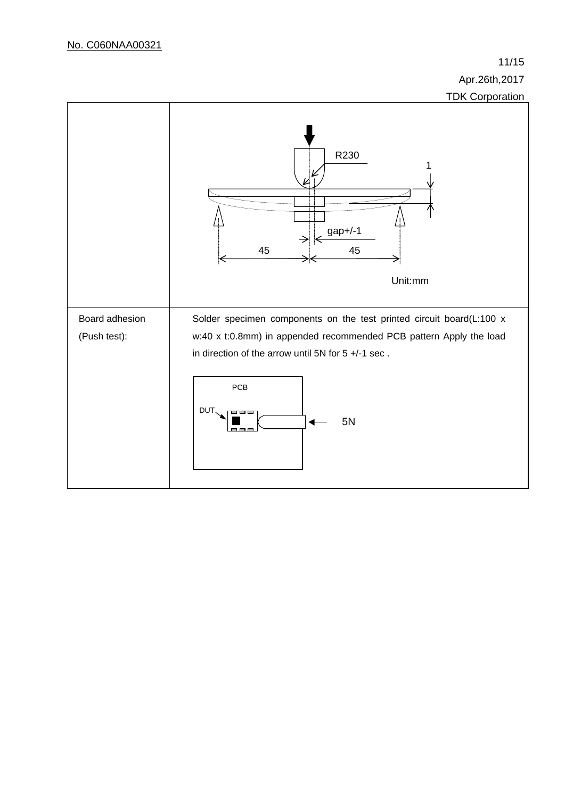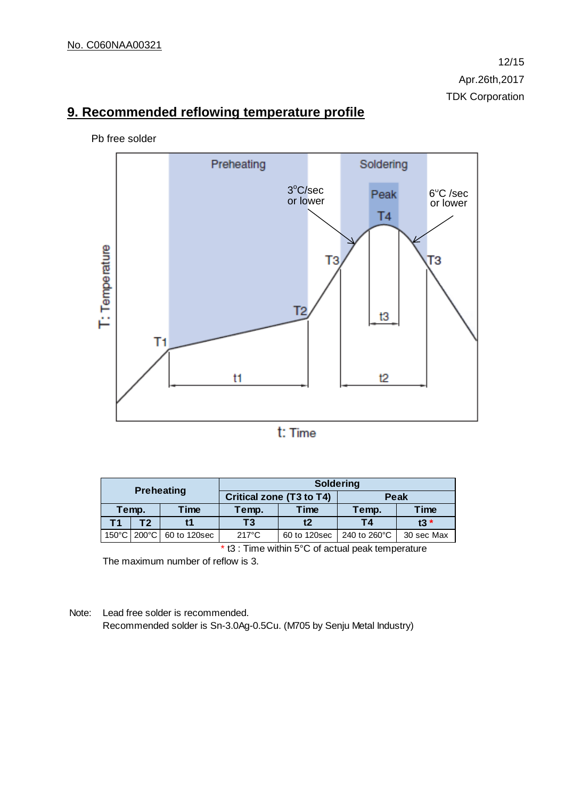# Preheating Soldering 3°C/sec Peak 6°C /sec or loweror lower **T4** T: Temperature T3 TЗ T<sub>2</sub> t3 T<sub>1</sub> t1 t2

# **9. Recommended reflowing temperature profile**

### t: Time

|       |                              |  |                 | <b>Soldering</b> |                              |            |       |  |  |  |
|-------|------------------------------|--|-----------------|------------------|------------------------------|------------|-------|--|--|--|
|       | <b>Preheating</b>            |  |                 |                  | Critical zone (T3 to T4)     | Peak       |       |  |  |  |
| Temp. |                              |  | Time            | Temp.            | Time                         | Temp.      | Time  |  |  |  |
| Τ2    |                              |  |                 | Т3               |                              | Τ4         | $13*$ |  |  |  |
|       | 150°C   200°C   60 to 120sec |  | $217^{\circ}$ C |                  | 60 to 120sec   240 to 260 °C | 30 sec Max |       |  |  |  |

\* t3 : Time within 5°C of actual peak temperature

The maximum number of reflow is 3.

Note: Lead free solder is recommended. Recommended solder is Sn-3.0Ag-0.5Cu. (M705 by Senju Metal Industry)

Pb free solder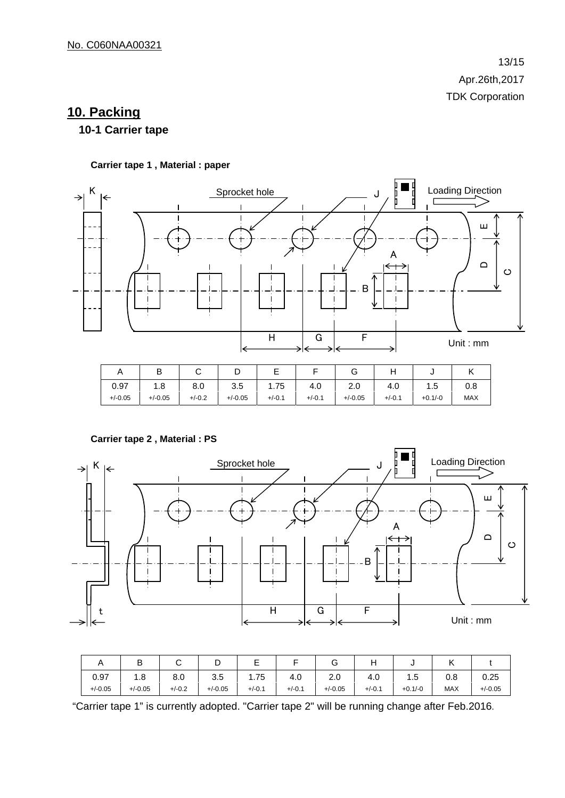### **10. Packing**

#### **10-1 Carrier tape**

### **Carrier tape 1 , Material : paper**



|           | -         |            | ◡                    | -        |          | ◡         |          |           |            |
|-----------|-----------|------------|----------------------|----------|----------|-----------|----------|-----------|------------|
| 0.97      | Ω<br>ن. ا | o o<br>o.u | $\sim$ $\sim$<br>3.5 | .75      | 4.C      | z.u       | 4.0      | ∽<br>ں. ا | 0.8        |
| $+/-0.05$ | $+/-0.05$ | $+/-0.2$   | $+/-0.05$            | $+/-0.1$ | $+/-0.1$ | $+/-0.05$ | $+/-0.1$ | $+0.1/-0$ | <b>MAX</b> |

#### **Carrier tape 2 , Material : PS**



| n         | ◡         |          | -         | -        |          | ت                    |          |           |            |           |
|-----------|-----------|----------|-----------|----------|----------|----------------------|----------|-----------|------------|-----------|
| 0.97      | 1.O       | 8.0      | 3.5       | 1.75     | 4.0      | $\sim$ $\sim$<br>Z.U | 4.U      | 1.5       | 0.8        | 0.25      |
| $+/-0.05$ | $+/-0.05$ | $+/-0.2$ | $+/-0.05$ | $+/-0.1$ | $+/-0.1$ | $+/-0.05$            | $+/-0.1$ | $+0.1/-0$ | <b>MAX</b> | $+/-0.05$ |

"Carrier tape 1" is currently adopted. "Carrier tape 2" will be running change after Feb.2016.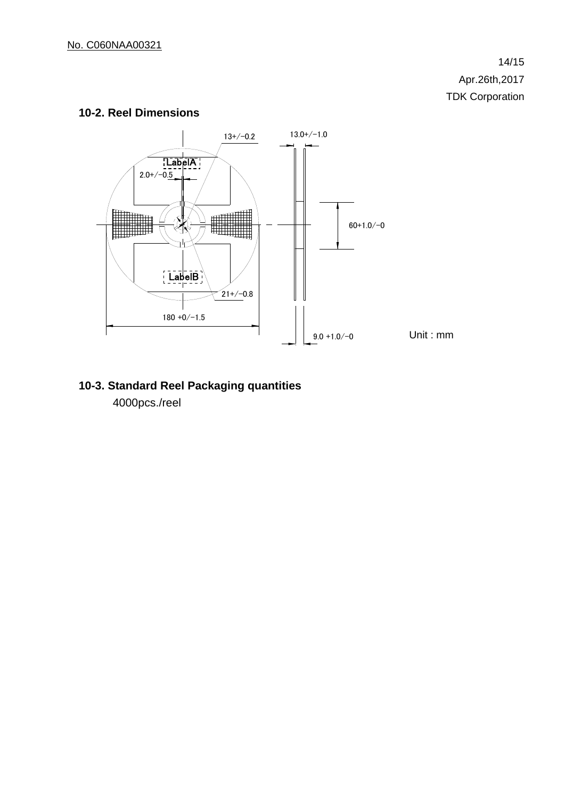#### **10-2. Reel Dimensions**



# **10-3. Standard Reel Packaging quantities**

4000pcs./reel